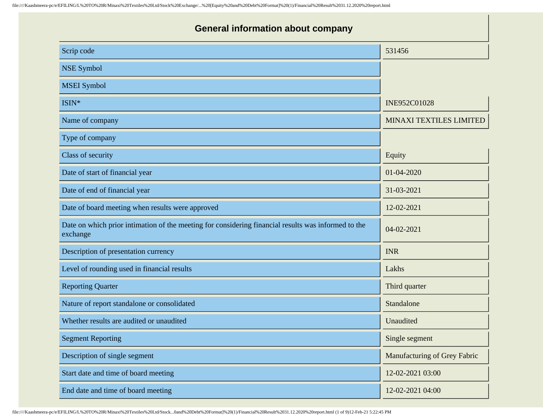| <b>General information about company</b>                                                                        |                                |  |
|-----------------------------------------------------------------------------------------------------------------|--------------------------------|--|
| Scrip code                                                                                                      | 531456                         |  |
| <b>NSE Symbol</b>                                                                                               |                                |  |
| <b>MSEI</b> Symbol                                                                                              |                                |  |
| ISIN*                                                                                                           | INE952C01028                   |  |
| Name of company                                                                                                 | <b>MINAXI TEXTILES LIMITED</b> |  |
| Type of company                                                                                                 |                                |  |
| Class of security                                                                                               | Equity                         |  |
| Date of start of financial year                                                                                 | 01-04-2020                     |  |
| Date of end of financial year                                                                                   | 31-03-2021                     |  |
| Date of board meeting when results were approved                                                                | 12-02-2021                     |  |
| Date on which prior intimation of the meeting for considering financial results was informed to the<br>exchange | 04-02-2021                     |  |
| Description of presentation currency                                                                            | <b>INR</b>                     |  |
| Level of rounding used in financial results                                                                     | Lakhs                          |  |
| <b>Reporting Quarter</b>                                                                                        | Third quarter                  |  |
| Nature of report standalone or consolidated                                                                     | Standalone                     |  |
| Whether results are audited or unaudited                                                                        | Unaudited                      |  |
| <b>Segment Reporting</b>                                                                                        | Single segment                 |  |
| Description of single segment                                                                                   | Manufacturing of Grey Fabric   |  |
| Start date and time of board meeting                                                                            | 12-02-2021 03:00               |  |
| End date and time of board meeting                                                                              | 12-02-2021 04:00               |  |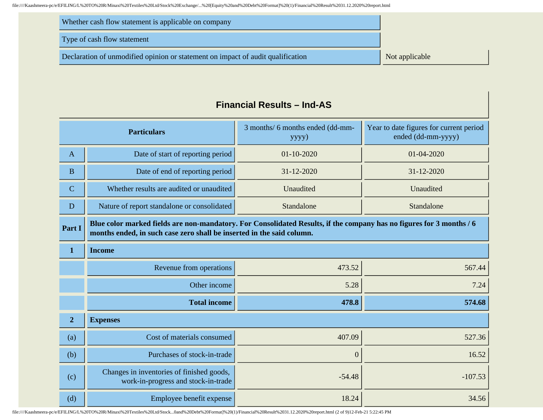| Whether cash flow statement is applicable on company                            |                |
|---------------------------------------------------------------------------------|----------------|
| Type of cash flow statement                                                     |                |
| Declaration of unmodified opinion or statement on impact of audit qualification | Not applicable |

# **Particulars** 3 months/ 6 months ended (dd-mmyyyy) Year to date figures for current period ended (dd-mm-yyyy) A Date of start of reporting period 01-10-2020 01-04-2020 01-04-2020 B Date of end of reporting period 31-12-2020 31-12-2020 31-12-2020 C Whether results are audited or unaudited Unaudited Unaudited D Nature of report standalone or consolidated Standalone Standalone Standalone **Part I Blue color marked fields are non-mandatory. For Consolidated Results, if the company has no figures for 3 months / 6 months ended, in such case zero shall be inserted in the said column. 1 Income** Revenue from operations  $473.52$   $567.44$ Other income  $5.28$  7.24 **Total income 178.8 178.8 574.68 2 Expenses** (a)  $\vert$  Cost of materials consumed  $\vert$  407.09  $\vert$  527.36 (b) Purchases of stock-in-trade  $\begin{bmatrix} 0 & 16.52 \end{bmatrix}$ (c) Changes in inventories of finished goods, work-in-progress and stock-in-trade  $\begin{bmatrix} -54.48 \\ -34.48 \end{bmatrix}$  -107.53 (d)  $\boxed{\qquad}$  Employee benefit expense  $\boxed{\qquad}$  18.24  $\boxed{\qquad}$  34.56

#### **Financial Results – Ind-AS**

file:////Kaashmeera-pc/e/EFILING/L%20TO%20R/Minaxi%20Textiles%20Ltd/Stock...0and%20Debt%20Format]%20(1)/Financial%20Result%2031.12.2020%20report.html (2 of 9)12-Feb-21 5:22:45 PM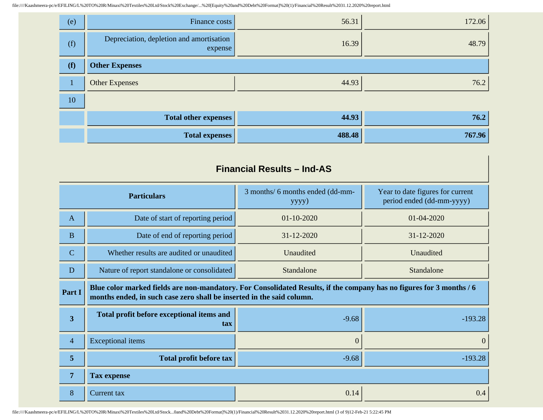| (e) | Finance costs                                       | 56.31  | 172.06 |
|-----|-----------------------------------------------------|--------|--------|
| (f) | Depreciation, depletion and amortisation<br>expense | 16.39  | 48.79  |
| (f) | <b>Other Expenses</b>                               |        |        |
|     | <b>Other Expenses</b>                               | 44.93  | 76.2   |
| 10  |                                                     |        |        |
|     | <b>Total other expenses</b>                         | 44.93  | 76.2   |
|     | <b>Total expenses</b>                               | 488.48 | 767.96 |

#### **Financial Results – Ind-AS**

| <b>Particulars</b>      |                                                                                                                                                                                               | 3 months/ 6 months ended (dd-mm-<br>yyyy) | Year to date figures for current<br>period ended (dd-mm-yyyy) |
|-------------------------|-----------------------------------------------------------------------------------------------------------------------------------------------------------------------------------------------|-------------------------------------------|---------------------------------------------------------------|
| $\mathbf{A}$            | Date of start of reporting period                                                                                                                                                             | $01-10-2020$                              | 01-04-2020                                                    |
| $\mathbf{B}$            | Date of end of reporting period                                                                                                                                                               | 31-12-2020                                | 31-12-2020                                                    |
| $\mathbf C$             | Whether results are audited or unaudited                                                                                                                                                      | Unaudited                                 | Unaudited                                                     |
| D                       | Nature of report standalone or consolidated                                                                                                                                                   | Standalone                                | Standalone                                                    |
| Part I                  | Blue color marked fields are non-mandatory. For Consolidated Results, if the company has no figures for 3 months / 6<br>months ended, in such case zero shall be inserted in the said column. |                                           |                                                               |
| $\overline{\mathbf{3}}$ | Total profit before exceptional items and<br>tax                                                                                                                                              | $-9.68$                                   | $-193.28$                                                     |
| $\overline{4}$          | <b>Exceptional</b> items                                                                                                                                                                      | $\theta$                                  | $\mathbf{0}$                                                  |
| 5                       | <b>Total profit before tax</b>                                                                                                                                                                | $-9.68$                                   | $-193.28$                                                     |
| $\overline{7}$          | <b>Tax expense</b>                                                                                                                                                                            |                                           |                                                               |
| 8                       | Current tax                                                                                                                                                                                   | 0.14                                      | 0.4                                                           |

file:////Kaashmeera-pc/e/EFILING/L%20TO%20R/Minaxi%20Textiles%20Ltd/Stock...0and%20Debt%20Format]%20(1)/Financial%20Result%2031.12.2020%20report.html (3 of 9)12-Feb-21 5:22:45 PM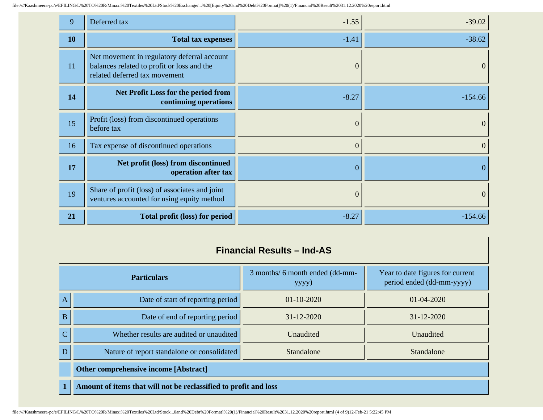| 9         | Deferred tax                                                                                                               | $-1.55$          | $-39.02$       |
|-----------|----------------------------------------------------------------------------------------------------------------------------|------------------|----------------|
| <b>10</b> | <b>Total tax expenses</b>                                                                                                  | $-1.41$          | $-38.62$       |
| 11        | Net movement in regulatory deferral account<br>balances related to profit or loss and the<br>related deferred tax movement | $\mathbf{0}$     | $\theta$       |
| 14        | <b>Net Profit Loss for the period from</b><br>continuing operations                                                        | $-8.27$          | $-154.66$      |
| 15        | Profit (loss) from discontinued operations<br>before tax                                                                   | $\mathbf{0}$     | $\mathbf{0}$   |
| 16        | Tax expense of discontinued operations                                                                                     | $\mathbf{0}$     | $\mathbf{0}$   |
| 17        | Net profit (loss) from discontinued<br>operation after tax                                                                 | $\boldsymbol{0}$ | $\mathbf{0}$   |
| 19        | Share of profit (loss) of associates and joint<br>ventures accounted for using equity method                               | $\mathbf{0}$     | $\overline{0}$ |
| 21        | Total profit (loss) for period                                                                                             | $-8.27$          | $-154.66$      |

## **Financial Results – Ind-AS**

| <b>Particulars</b> |                                                                  | 3 months/ 6 month ended (dd-mm-<br>yyyy) | Year to date figures for current<br>period ended (dd-mm-yyyy) |
|--------------------|------------------------------------------------------------------|------------------------------------------|---------------------------------------------------------------|
| A                  | Date of start of reporting period                                | $01 - 10 - 2020$                         | $01 - 04 - 2020$                                              |
| B                  | Date of end of reporting period                                  | $31 - 12 - 2020$                         | $31 - 12 - 2020$                                              |
| $\mathbf C$        | Whether results are audited or unaudited                         | Unaudited                                | Unaudited                                                     |
| D                  | Nature of report standalone or consolidated                      | Standalone                               | Standalone                                                    |
|                    | Other comprehensive income [Abstract]                            |                                          |                                                               |
| $\mathbf{1}$       | Amount of items that will not be reclassified to profit and loss |                                          |                                                               |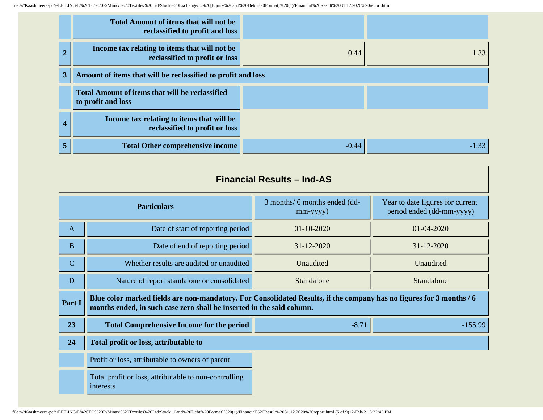|                | <b>Total Amount of items that will not be</b><br>reclassified to profit and loss |         |         |
|----------------|----------------------------------------------------------------------------------|---------|---------|
|                | Income tax relating to items that will not be<br>reclassified to profit or loss  | 0.44    | 1.33    |
| 3 <sup>1</sup> | Amount of items that will be reclassified to profit and loss                     |         |         |
|                | <b>Total Amount of items that will be reclassified</b><br>to profit and loss     |         |         |
| 4              | Income tax relating to items that will be<br>reclassified to profit or loss      |         |         |
| 5              | <b>Total Other comprehensive income</b>                                          | $-0.44$ | $-1.33$ |

# **Financial Results – Ind-AS**

| <b>Particulars</b> |                                                                                                                                                                                               | 3 months/ 6 months ended (dd-<br>$mm$ -yyyy $)$ | Year to date figures for current<br>period ended (dd-mm-yyyy) |
|--------------------|-----------------------------------------------------------------------------------------------------------------------------------------------------------------------------------------------|-------------------------------------------------|---------------------------------------------------------------|
| $\mathbf{A}$       | Date of start of reporting period                                                                                                                                                             | $01 - 10 - 2020$                                | 01-04-2020                                                    |
| $\bf{B}$           | Date of end of reporting period                                                                                                                                                               | 31-12-2020                                      | 31-12-2020                                                    |
| $\mathbf C$        | Whether results are audited or unaudited                                                                                                                                                      | Unaudited                                       | Unaudited                                                     |
| D                  | Nature of report standalone or consolidated                                                                                                                                                   | Standalone                                      | Standalone                                                    |
| Part I             | Blue color marked fields are non-mandatory. For Consolidated Results, if the company has no figures for 3 months / 6<br>months ended, in such case zero shall be inserted in the said column. |                                                 |                                                               |
| 23                 | <b>Total Comprehensive Income for the period</b>                                                                                                                                              | $-8.71$                                         | $-155.99$                                                     |
| 24                 | Total profit or loss, attributable to                                                                                                                                                         |                                                 |                                                               |
|                    | Profit or loss, attributable to owners of parent                                                                                                                                              |                                                 |                                                               |
|                    | Total profit or loss, attributable to non-controlling<br>interests                                                                                                                            |                                                 |                                                               |

file:////Kaashmeera-pc/e/EFILING/L%20TO%20R/Minaxi%20Textiles%20Ltd/Stock...0and%20Debt%20Format]%20(1)/Financial%20Result%2031.12.2020%20report.html (5 of 9)12-Feb-21 5:22:45 PM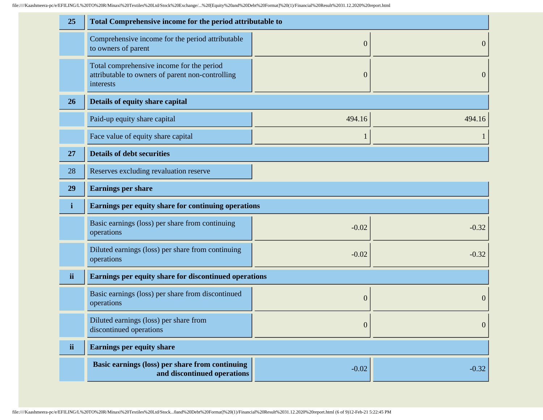| 25           | Total Comprehensive income for the period attributable to                                                  |                  |                  |
|--------------|------------------------------------------------------------------------------------------------------------|------------------|------------------|
|              | Comprehensive income for the period attributable<br>to owners of parent                                    | $\boldsymbol{0}$ | $\mathbf{0}$     |
|              | Total comprehensive income for the period<br>attributable to owners of parent non-controlling<br>interests | $\boldsymbol{0}$ | $\boldsymbol{0}$ |
| 26           | Details of equity share capital                                                                            |                  |                  |
|              | Paid-up equity share capital                                                                               | 494.16           | 494.16           |
|              | Face value of equity share capital                                                                         | 1                | 1                |
| 27           | <b>Details of debt securities</b>                                                                          |                  |                  |
| 28           | Reserves excluding revaluation reserve                                                                     |                  |                  |
| 29           | <b>Earnings per share</b>                                                                                  |                  |                  |
| $\mathbf{i}$ | Earnings per equity share for continuing operations                                                        |                  |                  |
|              | Basic earnings (loss) per share from continuing<br>operations                                              | $-0.02$          | $-0.32$          |
|              | Diluted earnings (loss) per share from continuing<br>operations                                            | $-0.02$          | $-0.32$          |
| ii           | Earnings per equity share for discontinued operations                                                      |                  |                  |
|              | Basic earnings (loss) per share from discontinued                                                          | $\boldsymbol{0}$ | $\boldsymbol{0}$ |
|              | operations                                                                                                 |                  |                  |
|              | Diluted earnings (loss) per share from<br>discontinued operations                                          | $\boldsymbol{0}$ | $\mathbf{0}$     |
| ii           | <b>Earnings per equity share</b>                                                                           |                  |                  |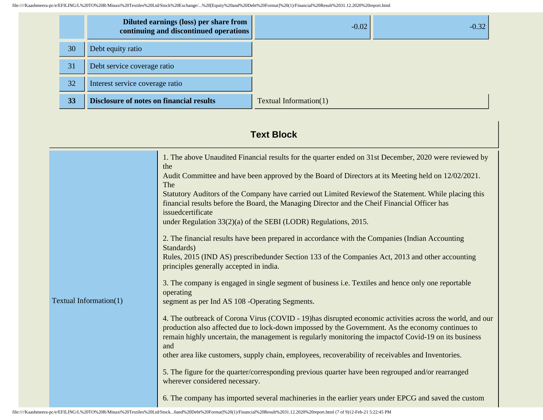|    | Diluted earnings (loss) per share from<br>continuing and discontinued operations | $-0.02$                | $-0.32$ |
|----|----------------------------------------------------------------------------------|------------------------|---------|
| 30 | Debt equity ratio                                                                |                        |         |
| 31 | Debt service coverage ratio                                                      |                        |         |
| 32 | Interest service coverage ratio                                                  |                        |         |
| 33 | <b>Disclosure of notes on financial results</b>                                  | Textual Information(1) |         |

# **Text Block**

| Textual Information(1) | 1. The above Unaudited Financial results for the quarter ended on 31st December, 2020 were reviewed by<br>the<br>Audit Committee and have been approved by the Board of Directors at its Meeting held on 12/02/2021.<br>The<br>Statutory Auditors of the Company have carried out Limited Reviewof the Statement. While placing this<br>financial results before the Board, the Managing Director and the Cheif Financial Officer has<br>issuedcertificate<br>under Regulation $33(2)(a)$ of the SEBI (LODR) Regulations, 2015.<br>2. The financial results have been prepared in accordance with the Companies (Indian Accounting<br>Standards)<br>Rules, 2015 (IND AS) prescribed under Section 133 of the Companies Act, 2013 and other accounting<br>principles generally accepted in india.<br>3. The company is engaged in single segment of business i.e. Textiles and hence only one reportable<br>operating<br>segment as per Ind AS 108 - Operating Segments.<br>4. The outbreack of Corona Virus (COVID - 19) has disrupted economic activities across the world, and our<br>production also affected due to lock-down impossed by the Government. As the economy continues to<br>remain highly uncertain, the management is regularly monitoring the impactof Covid-19 on its business<br>and<br>other area like customers, supply chain, employees, recoverability of receivables and Inventories.<br>5. The figure for the quarter/corresponding previous quarter have been regrouped and/or rearranged<br>wherever considered necessary. |
|------------------------|---------------------------------------------------------------------------------------------------------------------------------------------------------------------------------------------------------------------------------------------------------------------------------------------------------------------------------------------------------------------------------------------------------------------------------------------------------------------------------------------------------------------------------------------------------------------------------------------------------------------------------------------------------------------------------------------------------------------------------------------------------------------------------------------------------------------------------------------------------------------------------------------------------------------------------------------------------------------------------------------------------------------------------------------------------------------------------------------------------------------------------------------------------------------------------------------------------------------------------------------------------------------------------------------------------------------------------------------------------------------------------------------------------------------------------------------------------------------------------------------------------------------------------------------------------|
|                        | 6. The company has imported several machineries in the earlier years under EPCG and saved the custom                                                                                                                                                                                                                                                                                                                                                                                                                                                                                                                                                                                                                                                                                                                                                                                                                                                                                                                                                                                                                                                                                                                                                                                                                                                                                                                                                                                                                                                    |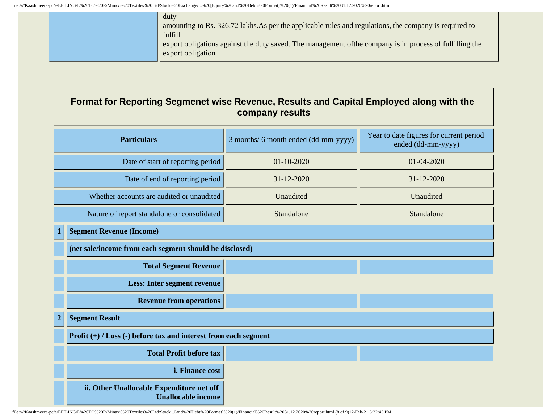|  | duty<br>amounting to Rs. 326.72 lakhs. As per the applicable rules and regulations, the company is required to                |
|--|-------------------------------------------------------------------------------------------------------------------------------|
|  | fulfill                                                                                                                       |
|  | export obligations against the duty saved. The management of the company is in process of fulfilling the<br>export obligation |

#### **Format for Reporting Segmenet wise Revenue, Results and Capital Employed along with the company results**

| <b>Particulars</b>                          |                                                                        | 3 months/ 6 month ended (dd-mm-yyyy) | Year to date figures for current period<br>ended (dd-mm-yyyy) |  |
|---------------------------------------------|------------------------------------------------------------------------|--------------------------------------|---------------------------------------------------------------|--|
| Date of start of reporting period           |                                                                        | $01 - 10 - 2020$                     | 01-04-2020                                                    |  |
| Date of end of reporting period             |                                                                        | 31-12-2020                           | 31-12-2020                                                    |  |
| Whether accounts are audited or unaudited   |                                                                        | Unaudited                            | Unaudited                                                     |  |
| Nature of report standalone or consolidated |                                                                        | Standalone                           | Standalone                                                    |  |
| 1                                           | <b>Segment Revenue (Income)</b>                                        |                                      |                                                               |  |
|                                             | (net sale/income from each segment should be disclosed)                |                                      |                                                               |  |
|                                             | <b>Total Segment Revenue</b>                                           |                                      |                                                               |  |
|                                             | <b>Less: Inter segment revenue</b>                                     |                                      |                                                               |  |
|                                             | <b>Revenue from operations</b>                                         |                                      |                                                               |  |
| $\boldsymbol{2}$                            | <b>Segment Result</b>                                                  |                                      |                                                               |  |
|                                             | Profit $(+)$ / Loss $(-)$ before tax and interest from each segment    |                                      |                                                               |  |
|                                             | <b>Total Profit before tax</b>                                         |                                      |                                                               |  |
|                                             | i. Finance cost                                                        |                                      |                                                               |  |
|                                             | ii. Other Unallocable Expenditure net off<br><b>Unallocable income</b> |                                      |                                                               |  |

file:////Kaashmeera-pc/e/EFILING/L%20TO%20R/Minaxi%20Textiles%20Ltd/Stock...0and%20Debt%20Format]%20(1)/Financial%20Result%2031.12.2020%20report.html (8 of 9)12-Feb-21 5:22:45 PM